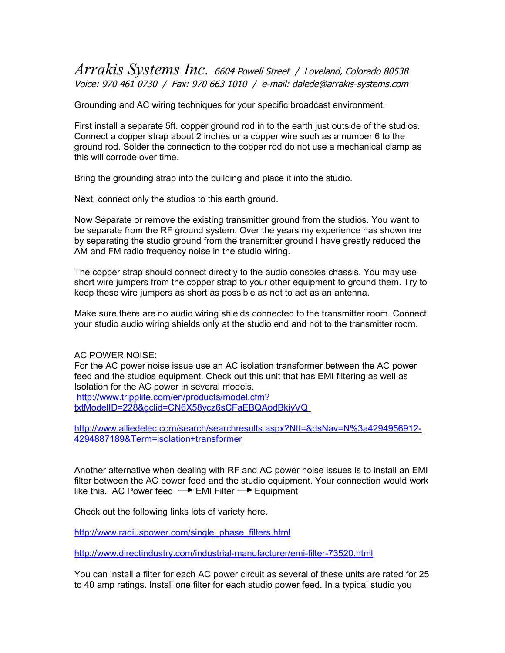## *Arrakis Systems Inc.* 6604 Powell Street / Loveland, Colorado 80538 Voice: 970 461 0730 / Fax: 970 663 1010 / e-mail: dalede@arrakis-systems.com

Grounding and AC wiring techniques for your specific broadcast environment.

First install a separate 5ft. copper ground rod in to the earth just outside of the studios. Connect a copper strap about 2 inches or a copper wire such as a number 6 to the ground rod. Solder the connection to the copper rod do not use a mechanical clamp as this will corrode over time.

Bring the grounding strap into the building and place it into the studio.

Next, connect only the studios to this earth ground.

Now Separate or remove the existing transmitter ground from the studios. You want to be separate from the RF ground system. Over the years my experience has shown me by separating the studio ground from the transmitter ground I have greatly reduced the AM and FM radio frequency noise in the studio wiring.

The copper strap should connect directly to the audio consoles chassis. You may use short wire jumpers from the copper strap to your other equipment to ground them. Try to keep these wire jumpers as short as possible as not to act as an antenna.

Make sure there are no audio wiring shields connected to the transmitter room. Connect your studio audio wiring shields only at the studio end and not to the transmitter room.

## AC POWER NOISE:

For the AC power noise issue use an AC isolation transformer between the AC power feed and the studios equipment. Check out this unit that has EMI filtering as well as Isolation for the AC power in several models.  [http://www.tripplite.com/en/products/model.cfm?](http://www.elect-spec.com/isotran.htm)

 [txtModelID=228&gclid=CN6X58ycz6sCFaEBQAodBkiyVQ](http://www.elect-spec.com/isotran.htm)

[http://www.alliedelec.com/search/searchresults.aspx?Ntt=&dsNav=N%3a4294956912-](http://www.alliedelec.com/search/searchresults.aspx?Ntt=&dsNav=N%3A4294956912-4294887189&Term=isolation+transformer) [4294887189&Term=isolation+transformer](http://www.alliedelec.com/search/searchresults.aspx?Ntt=&dsNav=N%3A4294956912-4294887189&Term=isolation+transformer)

Another alternative when dealing with RF and AC power noise issues is to install an EMI filter between the AC power feed and the studio equipment. Your connection would work like this. AC Power feed  $\rightarrow$  EMI Filter  $\rightarrow$  Equipment

Check out the following links lots of variety here.

[http://www.radiuspower.com/single\\_phase\\_filters.html](http://www.radiuspower.com/single_phase_filters.html)

[http://www.directindustry.com/industrial-manufacturer/emi-filter-73520.html](http://www.directindustry.com/scripts/go_to_web.php)

You can install a filter for each AC power circuit as several of these units are rated for 25 to 40 amp ratings. Install one filter for each studio power feed. In a typical studio you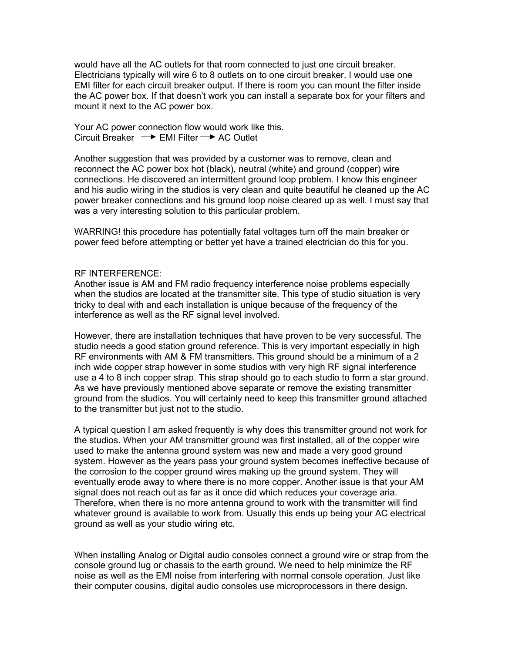would have all the AC outlets for that room connected to just one circuit breaker. Electricians typically will wire 6 to 8 outlets on to one circuit breaker. I would use one EMI filter for each circuit breaker output. If there is room you can mount the filter inside the AC power box. If that doesn't work you can install a separate box for your filters and mount it next to the AC power box.

Your AC power connection flow would work like this. Circuit Breaker  $\rightarrow$  EMI Filter  $\rightarrow$  AC Outlet

Another suggestion that was provided by a customer was to remove, clean and reconnect the AC power box hot (black), neutral (white) and ground (copper) wire connections. He discovered an intermittent ground loop problem. I know this engineer and his audio wiring in the studios is very clean and quite beautiful he cleaned up the AC power breaker connections and his ground loop noise cleared up as well. I must say that was a very interesting solution to this particular problem.

WARRING! this procedure has potentially fatal voltages turn off the main breaker or power feed before attempting or better yet have a trained electrician do this for you.

## RF INTERFERENCE:

Another issue is AM and FM radio frequency interference noise problems especially when the studios are located at the transmitter site. This type of studio situation is very tricky to deal with and each installation is unique because of the frequency of the interference as well as the RF signal level involved.

However, there are installation techniques that have proven to be very successful. The studio needs a good station ground reference. This is very important especially in high RF environments with AM & FM transmitters. This ground should be a minimum of a 2 inch wide copper strap however in some studios with very high RF signal interference use a 4 to 8 inch copper strap. This strap should go to each studio to form a star ground. As we have previously mentioned above separate or remove the existing transmitter ground from the studios. You will certainly need to keep this transmitter ground attached to the transmitter but just not to the studio.

A typical question I am asked frequently is why does this transmitter ground not work for the studios. When your AM transmitter ground was first installed, all of the copper wire used to make the antenna ground system was new and made a very good ground system. However as the years pass your ground system becomes ineffective because of the corrosion to the copper ground wires making up the ground system. They will eventually erode away to where there is no more copper. Another issue is that your AM signal does not reach out as far as it once did which reduces your coverage aria. Therefore, when there is no more antenna ground to work with the transmitter will find whatever ground is available to work from. Usually this ends up being your AC electrical ground as well as your studio wiring etc.

When installing Analog or Digital audio consoles connect a ground wire or strap from the console ground lug or chassis to the earth ground. We need to help minimize the RF noise as well as the EMI noise from interfering with normal console operation. Just like their computer cousins, digital audio consoles use microprocessors in there design.